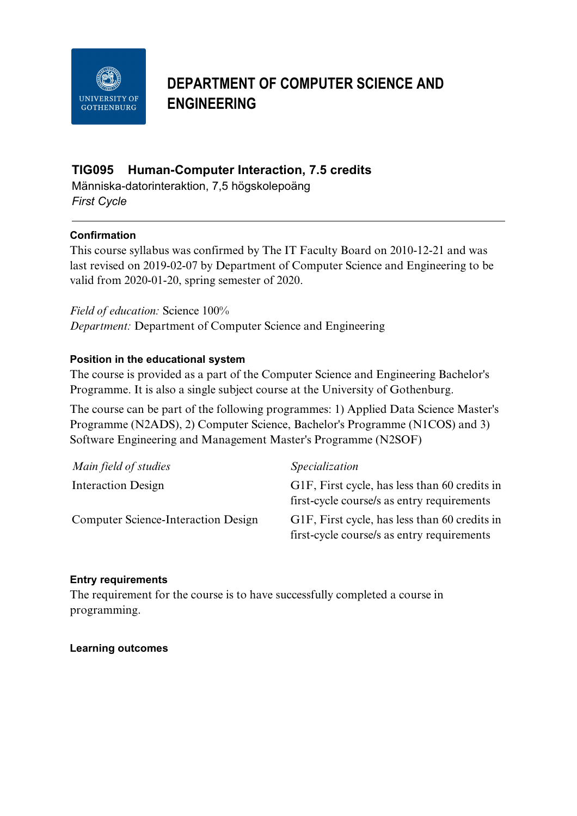

# **DEPARTMENT OF COMPUTER SCIENCE AND ENGINEERING**

# **TIG095 Human-Computer Interaction, 7.5 credits**

Människa-datorinteraktion, 7,5 högskolepoäng *First Cycle*

### **Confirmation**

This course syllabus was confirmed by The IT Faculty Board on 2010-12-21 and was last revised on 2019-02-07 by Department of Computer Science and Engineering to be valid from 2020-01-20, spring semester of 2020.

*Field of education:* Science 100% *Department:* Department of Computer Science and Engineering

### **Position in the educational system**

The course is provided as a part of the Computer Science and Engineering Bachelor's Programme. It is also a single subject course at the University of Gothenburg.

The course can be part of the following programmes: 1) Applied Data Science Master's Programme (N2ADS), 2) Computer Science, Bachelor's Programme (N1COS) and 3) Software Engineering and Management Master's Programme (N2SOF)

| Main field of studies                      | Specialization                                                                              |
|--------------------------------------------|---------------------------------------------------------------------------------------------|
| <b>Interaction Design</b>                  | G1F, First cycle, has less than 60 credits in<br>first-cycle course/s as entry requirements |
| <b>Computer Science-Interaction Design</b> | G1F, First cycle, has less than 60 credits in<br>first-cycle course/s as entry requirements |

#### **Entry requirements**

The requirement for the course is to have successfully completed a course in programming.

#### **Learning outcomes**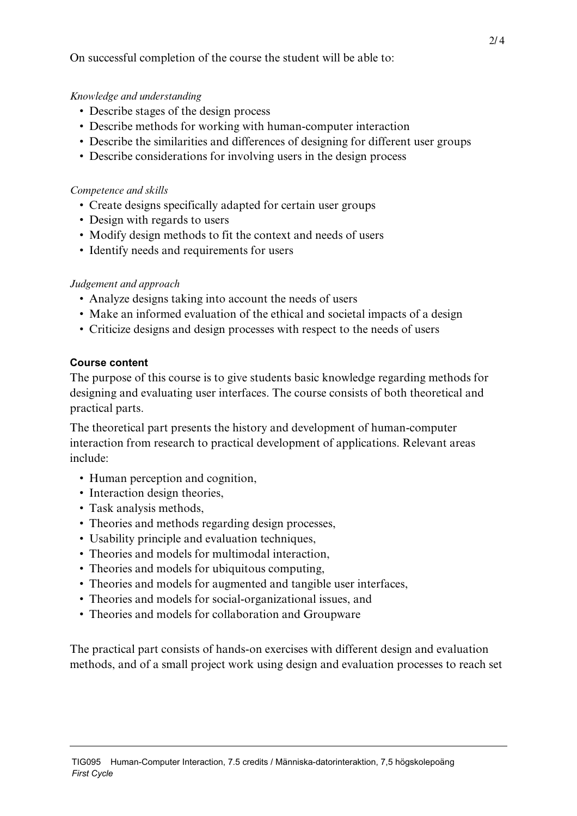On successful completion of the course the student will be able to:

### *Knowledge and understanding*

- Describe stages of the design process
- Describe methods for working with human-computer interaction
- Describe the similarities and differences of designing for different user groups
- Describe considerations for involving users in the design process

#### *Competence and skills*

- Create designs specifically adapted for certain user groups
- Design with regards to users
- Modify design methods to fit the context and needs of users
- Identify needs and requirements for users

#### *Judgement and approach*

- Analyze designs taking into account the needs of users
- Make an informed evaluation of the ethical and societal impacts of a design
- Criticize designs and design processes with respect to the needs of users

#### **Course content**

The purpose of this course is to give students basic knowledge regarding methods for designing and evaluating user interfaces. The course consists of both theoretical and practical parts.

The theoretical part presents the history and development of human-computer interaction from research to practical development of applications. Relevant areas include:

- Human perception and cognition,
- Interaction design theories,
- Task analysis methods,
- Theories and methods regarding design processes,
- Usability principle and evaluation techniques,
- Theories and models for multimodal interaction,
- Theories and models for ubiquitous computing,
- Theories and models for augmented and tangible user interfaces,
- Theories and models for social-organizational issues, and
- Theories and models for collaboration and Groupware

The practical part consists of hands-on exercises with different design and evaluation methods, and of a small project work using design and evaluation processes to reach set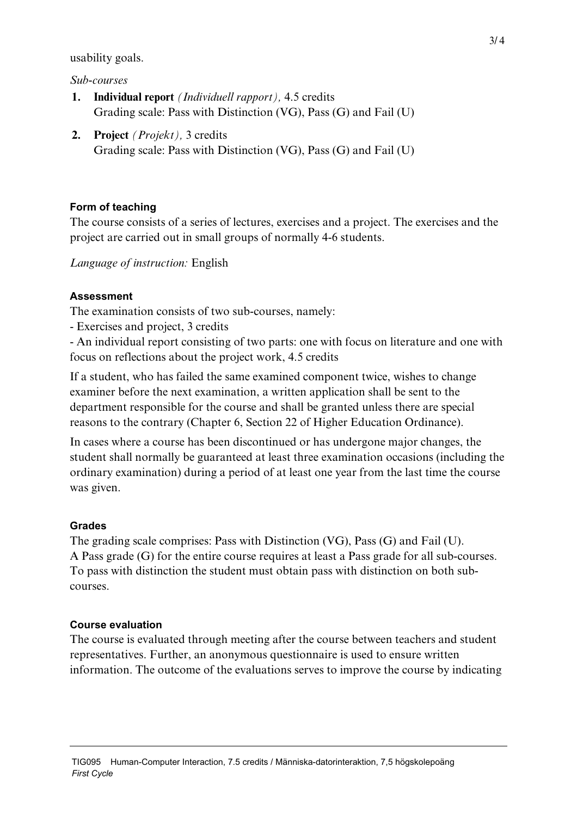usability goals.

*Sub-courses*

- **1. Individual report** *(Individuell rapport),* 4.5 credits Grading scale: Pass with Distinction (VG), Pass (G) and Fail (U)
- **2. Project** *(Projekt),* 3 credits Grading scale: Pass with Distinction (VG), Pass (G) and Fail (U)

# **Form of teaching**

The course consists of a series of lectures, exercises and a project. The exercises and the project are carried out in small groups of normally 4-6 students.

*Language of instruction:* English

# **Assessment**

The examination consists of two sub-courses, namely:

- Exercises and project, 3 credits

- An individual report consisting of two parts: one with focus on literature and one with focus on reflections about the project work, 4.5 credits

If a student, who has failed the same examined component twice, wishes to change examiner before the next examination, a written application shall be sent to the department responsible for the course and shall be granted unless there are special reasons to the contrary (Chapter 6, Section 22 of Higher Education Ordinance).

In cases where a course has been discontinued or has undergone major changes, the student shall normally be guaranteed at least three examination occasions (including the ordinary examination) during a period of at least one year from the last time the course was given.

# **Grades**

The grading scale comprises: Pass with Distinction (VG), Pass (G) and Fail (U). A Pass grade (G) for the entire course requires at least a Pass grade for all sub-courses. To pass with distinction the student must obtain pass with distinction on both subcourses.

# **Course evaluation**

The course is evaluated through meeting after the course between teachers and student representatives. Further, an anonymous questionnaire is used to ensure written information. The outcome of the evaluations serves to improve the course by indicating